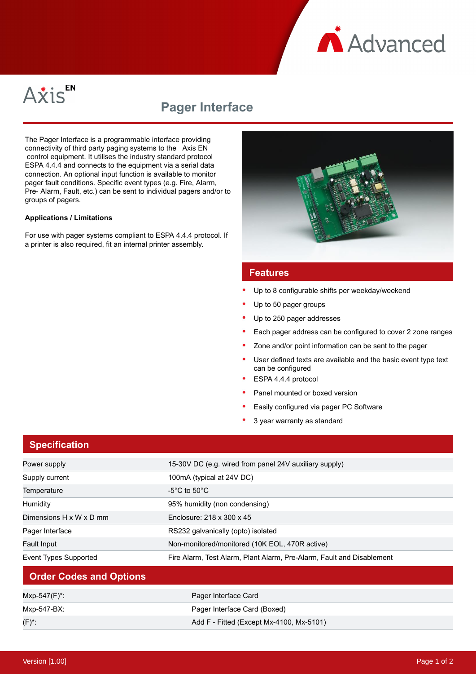



# **Pager Interface**

The Pager Interface is a programmable interface providing connectivity of third party paging systems to the Axis EN control equipment. It utilises the industry standard protocol ESPA 4.4.4 and connects to the equipment via a serial data connection. An optional input function is available to monitor pager fault conditions. Specific event types (e.g. Fire, Alarm, Pre- Alarm, Fault, etc.) can be sent to individual pagers and/or to groups of pagers.

#### **Applications / Limitations**

For use with pager systems compliant to ESPA 4.4.4 protocol. If a printer is also required, fit an internal printer assembly.



#### **Features**

- Up to 8 configurable shifts per weekday/weekend
- Up to 50 pager groups
- Up to 250 pager addresses
- Each pager address can be configured to cover 2 zone ranges
- Zone and/or point information can be sent to the pager
- User defined texts are available and the basic event type text can be configured
- ESPA 4.4.4 protocol
- Panel mounted or boxed version
- Easily configured via pager PC Software
- 3 year warranty as standard

### **Specification**

| Power supply                   | 15-30V DC (e.g. wired from panel 24V auxiliary supply)                |
|--------------------------------|-----------------------------------------------------------------------|
| Supply current                 | 100mA (typical at 24V DC)                                             |
| Temperature                    | -5°C to 50°C.                                                         |
| Humidity                       | 95% humidity (non condensing)                                         |
| Dimensions H x W x D mm        | Enclosure: 218 x 300 x 45                                             |
| Pager Interface                | RS232 galvanically (opto) isolated                                    |
| <b>Fault Input</b>             | Non-monitored/monitored (10K EOL, 470R active)                        |
| Event Types Supported          | Fire Alarm, Test Alarm, Plant Alarm, Pre-Alarm, Fault and Disablement |
| <b>Order Codes and Options</b> |                                                                       |
| Mxp-547(F)*:                   | Pager Interface Card                                                  |
| Mxp-547-BX:                    | Pager Interface Card (Boxed)                                          |